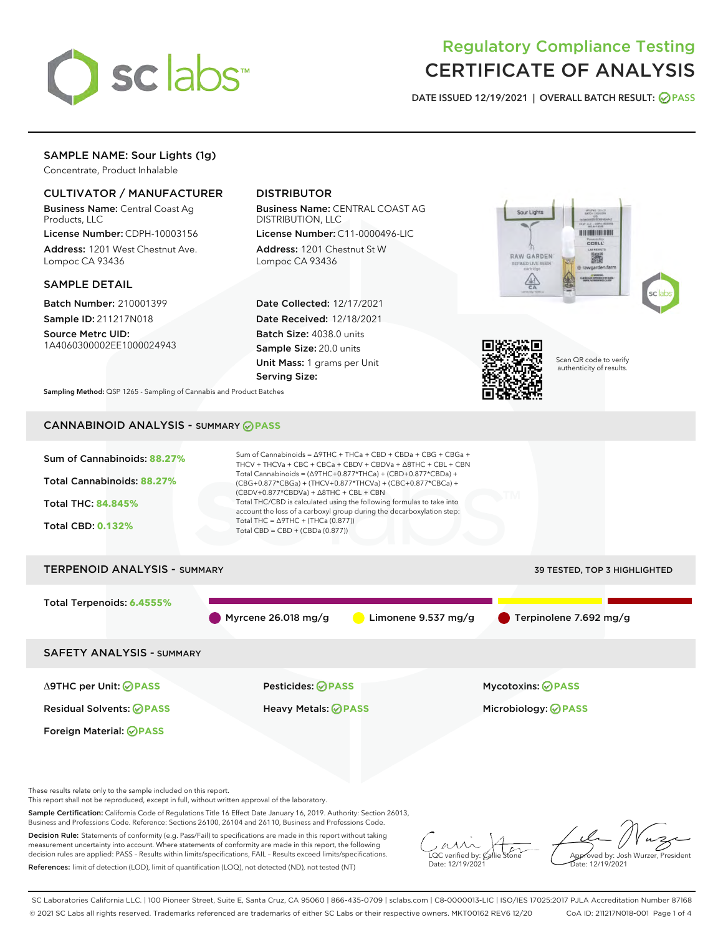

# Regulatory Compliance Testing CERTIFICATE OF ANALYSIS

DATE ISSUED 12/19/2021 | OVERALL BATCH RESULT: @ PASS

# SAMPLE NAME: Sour Lights (1g)

Concentrate, Product Inhalable

# CULTIVATOR / MANUFACTURER

Business Name: Central Coast Ag Products, LLC

License Number: CDPH-10003156 Address: 1201 West Chestnut Ave. Lompoc CA 93436

#### SAMPLE DETAIL

Batch Number: 210001399 Sample ID: 211217N018

Source Metrc UID: 1A4060300002EE1000024943

# DISTRIBUTOR

Business Name: CENTRAL COAST AG DISTRIBUTION, LLC

License Number: C11-0000496-LIC Address: 1201 Chestnut St W Lompoc CA 93436

Date Collected: 12/17/2021 Date Received: 12/18/2021 Batch Size: 4038.0 units Sample Size: 20.0 units Unit Mass: 1 grams per Unit Serving Size:





Scan QR code to verify authenticity of results.

Sampling Method: QSP 1265 - Sampling of Cannabis and Product Batches

# CANNABINOID ANALYSIS - SUMMARY **PASS**



Sample Certification: California Code of Regulations Title 16 Effect Date January 16, 2019. Authority: Section 26013,

Business and Professions Code. Reference: Sections 26100, 26104 and 26110, Business and Professions Code.

Decision Rule: Statements of conformity (e.g. Pass/Fail) to specifications are made in this report without taking measurement uncertainty into account. Where statements of conformity are made in this report, the following decision rules are applied: PASS – Results within limits/specifications, FAIL – Results exceed limits/specifications. References: limit of detection (LOD), limit of quantification (LOQ), not detected (ND), not tested (NT)

 $\overline{\text{LOC}}$  verified by:  $\mathcal{C}_i$ Date: 12/19/2021

Approved by: Josh Wurzer, President ate: 12/19/2021

SC Laboratories California LLC. | 100 Pioneer Street, Suite E, Santa Cruz, CA 95060 | 866-435-0709 | sclabs.com | C8-0000013-LIC | ISO/IES 17025:2017 PJLA Accreditation Number 87168 © 2021 SC Labs all rights reserved. Trademarks referenced are trademarks of either SC Labs or their respective owners. MKT00162 REV6 12/20 CoA ID: 211217N018-001 Page 1 of 4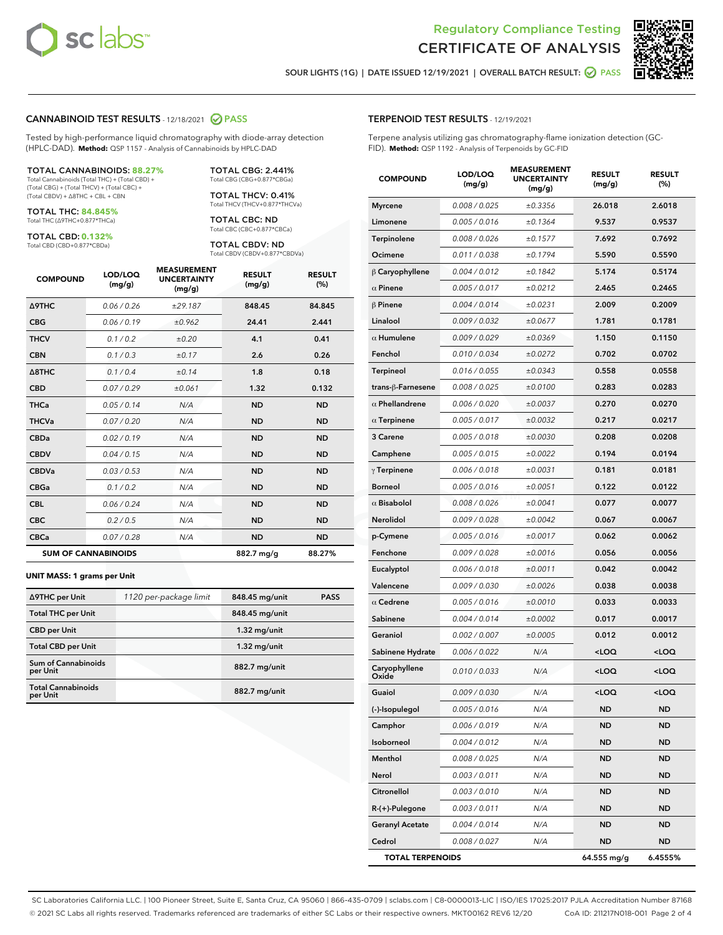



SOUR LIGHTS (1G) | DATE ISSUED 12/19/2021 | OVERALL BATCH RESULT: @ PASS

#### CANNABINOID TEST RESULTS - 12/18/2021 2 PASS

Tested by high-performance liquid chromatography with diode-array detection (HPLC-DAD). **Method:** QSP 1157 - Analysis of Cannabinoids by HPLC-DAD

#### TOTAL CANNABINOIDS: **88.27%**

Total Cannabinoids (Total THC) + (Total CBD) + (Total CBG) + (Total THCV) + (Total CBC) + (Total CBDV) + ∆8THC + CBL + CBN

TOTAL THC: **84.845%** Total THC (∆9THC+0.877\*THCa)

TOTAL CBD: **0.132%**

Total CBD (CBD+0.877\*CBDa)

TOTAL CBG: 2.441% Total CBG (CBG+0.877\*CBGa)

TOTAL THCV: 0.41% Total THCV (THCV+0.877\*THCVa)

TOTAL CBC: ND Total CBC (CBC+0.877\*CBCa)

TOTAL CBDV: ND Total CBDV (CBDV+0.877\*CBDVa)

| <b>COMPOUND</b>            | LOD/LOQ<br>(mg/g) | <b>MEASUREMENT</b><br><b>UNCERTAINTY</b><br>(mg/g) | <b>RESULT</b><br>(mg/g) | <b>RESULT</b><br>(%) |
|----------------------------|-------------------|----------------------------------------------------|-------------------------|----------------------|
| <b>A9THC</b>               | 0.06 / 0.26       | ±29.187                                            | 848.45                  | 84.845               |
| <b>CBG</b>                 | 0.06/0.19         | ±0.962                                             | 24.41                   | 2.441                |
| <b>THCV</b>                | 0.1 / 0.2         | ±0.20                                              | 4.1                     | 0.41                 |
| <b>CBN</b>                 | 0.1/0.3           | ±0.17                                              | 2.6                     | 0.26                 |
| $\triangle$ 8THC           | 0.1/0.4           | ±0.14                                              | 1.8                     | 0.18                 |
| <b>CBD</b>                 | 0.07 / 0.29       | ±0.061                                             | 1.32                    | 0.132                |
| <b>THCa</b>                | 0.05/0.14         | N/A                                                | <b>ND</b>               | <b>ND</b>            |
| <b>THCVa</b>               | 0.07/0.20         | N/A                                                | <b>ND</b>               | <b>ND</b>            |
| <b>CBDa</b>                | 0.02/0.19         | N/A                                                | <b>ND</b>               | <b>ND</b>            |
| <b>CBDV</b>                | 0.04 / 0.15       | N/A                                                | <b>ND</b>               | <b>ND</b>            |
| <b>CBDVa</b>               | 0.03/0.53         | N/A                                                | <b>ND</b>               | <b>ND</b>            |
| <b>CBGa</b>                | 0.1 / 0.2         | N/A                                                | <b>ND</b>               | <b>ND</b>            |
| <b>CBL</b>                 | 0.06 / 0.24       | N/A                                                | <b>ND</b>               | <b>ND</b>            |
| <b>CBC</b>                 | 0.2 / 0.5         | N/A                                                | <b>ND</b>               | <b>ND</b>            |
| <b>CBCa</b>                | 0.07 / 0.28       | N/A                                                | <b>ND</b>               | <b>ND</b>            |
| <b>SUM OF CANNABINOIDS</b> |                   |                                                    | 882.7 mg/g              | 88.27%               |

#### **UNIT MASS: 1 grams per Unit**

| ∆9THC per Unit                         | 1120 per-package limit | 848.45 mg/unit | <b>PASS</b> |
|----------------------------------------|------------------------|----------------|-------------|
| <b>Total THC per Unit</b>              |                        | 848.45 mg/unit |             |
| <b>CBD per Unit</b>                    |                        | $1.32$ mg/unit |             |
| <b>Total CBD per Unit</b>              |                        | $1.32$ mg/unit |             |
| <b>Sum of Cannabinoids</b><br>per Unit |                        | 882.7 mg/unit  |             |
| <b>Total Cannabinoids</b><br>per Unit  |                        | 882.7 mg/unit  |             |

| <b>COMPOUND</b>         | LOD/LOQ<br>(mg/g) | <b>MEASUREMENT</b><br><b>UNCERTAINTY</b><br>(mg/g) | <b>RESULT</b><br>(mg/g)                         | <b>RESULT</b><br>(%) |
|-------------------------|-------------------|----------------------------------------------------|-------------------------------------------------|----------------------|
| <b>Myrcene</b>          | 0.008 / 0.025     | ±0.3356                                            | 26.018                                          | 2.6018               |
| Limonene                | 0.005 / 0.016     | ±0.1364                                            | 9.537                                           | 0.9537               |
| Terpinolene             | 0.008 / 0.026     | ±0.1577                                            | 7.692                                           | 0.7692               |
| Ocimene                 | 0.011 / 0.038     | ±0.1794                                            | 5.590                                           | 0.5590               |
| $\upbeta$ Caryophyllene | 0.004 / 0.012     | ±0.1842                                            | 5.174                                           | 0.5174               |
| $\alpha$ Pinene         | 0.005 / 0.017     | ±0.0212                                            | 2.465                                           | 0.2465               |
| $\beta$ Pinene          | 0.004 / 0.014     | ±0.0231                                            | 2.009                                           | 0.2009               |
| Linalool                | 0.009 / 0.032     | ±0.0677                                            | 1.781                                           | 0.1781               |
| $\alpha$ Humulene       | 0.009/0.029       | ±0.0369                                            | 1.150                                           | 0.1150               |
| Fenchol                 | 0.010 / 0.034     | ±0.0272                                            | 0.702                                           | 0.0702               |
| Terpineol               | 0.016 / 0.055     | ±0.0343                                            | 0.558                                           | 0.0558               |
| trans-β-Farnesene       | 0.008 / 0.025     | ±0.0100                                            | 0.283                                           | 0.0283               |
| $\alpha$ Phellandrene   | 0.006 / 0.020     | ±0.0037                                            | 0.270                                           | 0.0270               |
| $\alpha$ Terpinene      | 0.005 / 0.017     | ±0.0032                                            | 0.217                                           | 0.0217               |
| 3 Carene                | 0.005 / 0.018     | ±0.0030                                            | 0.208                                           | 0.0208               |
| Camphene                | 0.005 / 0.015     | ±0.0022                                            | 0.194                                           | 0.0194               |
| $\gamma$ Terpinene      | 0.006 / 0.018     | ±0.0031                                            | 0.181                                           | 0.0181               |
| <b>Borneol</b>          | 0.005 / 0.016     | ±0.0051                                            | 0.122                                           | 0.0122               |
| $\alpha$ Bisabolol      | 0.008 / 0.026     | ±0.0041                                            | 0.077                                           | 0.0077               |
| Nerolidol               | 0.009 / 0.028     | ±0.0042                                            | 0.067                                           | 0.0067               |
| p-Cymene                | 0.005 / 0.016     | ±0.0017                                            | 0.062                                           | 0.0062               |
| Fenchone                | 0.009 / 0.028     | ±0.0016                                            | 0.056                                           | 0.0056               |
| Eucalyptol              | 0.006 / 0.018     | ±0.0011                                            | 0.042                                           | 0.0042               |
| Valencene               | 0.009 / 0.030     | ±0.0026                                            | 0.038                                           | 0.0038               |
| $\alpha$ Cedrene        | 0.005 / 0.016     | ±0.0010                                            | 0.033                                           | 0.0033               |
| Sabinene                | 0.004 / 0.014     | ±0.0002                                            | 0.017                                           | 0.0017               |
| Geraniol                | 0.002 / 0.007     | ±0.0005                                            | 0.012                                           | 0.0012               |
| Sabinene Hydrate        | 0.006 / 0.022     | N/A                                                | <loq< th=""><th><loq< th=""></loq<></th></loq<> | <loq< th=""></loq<>  |
| Caryophyllene<br>Oxide  | 0.010 / 0.033     | N/A                                                | <loq< th=""><th><loq< th=""></loq<></th></loq<> | <loq< th=""></loq<>  |
| Guaiol                  | 0.009 / 0.030     | N/A                                                | <loq< th=""><th><loq< th=""></loq<></th></loq<> | <loq< th=""></loq<>  |
| (-)-Isopulegol          | 0.005 / 0.016     | N/A                                                | ND                                              | ND                   |
| Camphor                 | 0.006 / 0.019     | N/A                                                | ND                                              | ND                   |
| Isoborneol              | 0.004 / 0.012     | N/A                                                | <b>ND</b>                                       | ND                   |
| Menthol                 | 0.008 / 0.025     | N/A                                                | ND                                              | ND                   |
| Nerol                   | 0.003 / 0.011     | N/A                                                | ND                                              | ND                   |
| Citronellol             | 0.003 / 0.010     | N/A                                                | <b>ND</b>                                       | ND                   |
| R-(+)-Pulegone          | 0.003 / 0.011     | N/A                                                | ND                                              | ND                   |
| <b>Geranyl Acetate</b>  | 0.004 / 0.014     | N/A                                                | ND                                              | ND                   |
| Cedrol                  | 0.008 / 0.027     | N/A                                                | ND                                              | ND                   |
| <b>TOTAL TERPENOIDS</b> |                   |                                                    | 64.555 mg/g                                     | 6.4555%              |

SC Laboratories California LLC. | 100 Pioneer Street, Suite E, Santa Cruz, CA 95060 | 866-435-0709 | sclabs.com | C8-0000013-LIC | ISO/IES 17025:2017 PJLA Accreditation Number 87168 © 2021 SC Labs all rights reserved. Trademarks referenced are trademarks of either SC Labs or their respective owners. MKT00162 REV6 12/20 CoA ID: 211217N018-001 Page 2 of 4

# TERPENOID TEST RESULTS - 12/19/2021

Terpene analysis utilizing gas chromatography-flame ionization detection (GC-FID). **Method:** QSP 1192 - Analysis of Terpenoids by GC-FID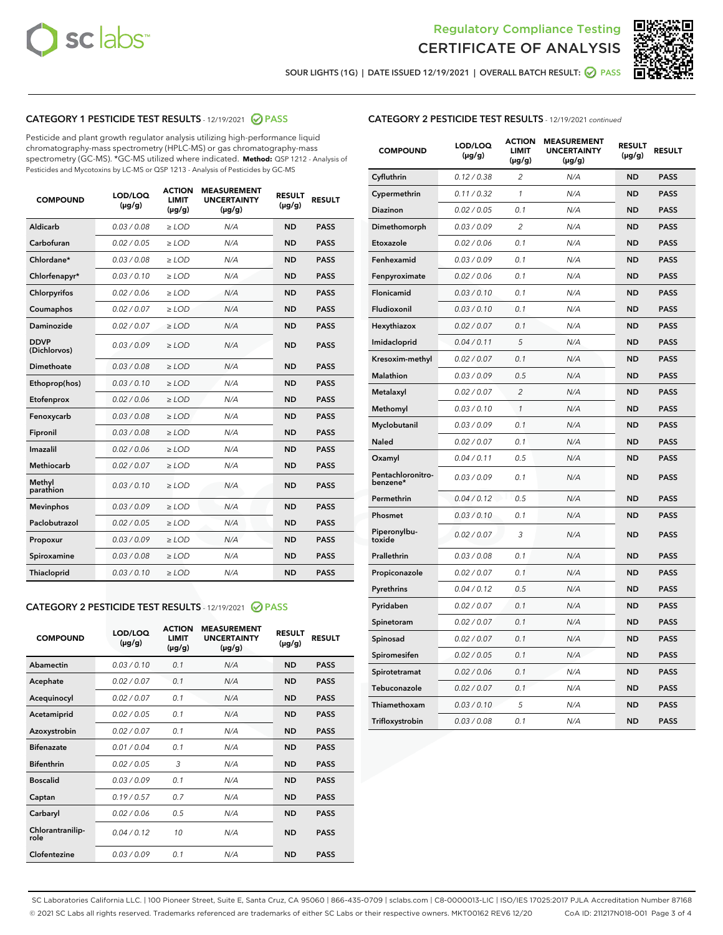



SOUR LIGHTS (1G) | DATE ISSUED 12/19/2021 | OVERALL BATCH RESULT: 2 PASS

# CATEGORY 1 PESTICIDE TEST RESULTS - 12/19/2021 2 PASS

Pesticide and plant growth regulator analysis utilizing high-performance liquid chromatography-mass spectrometry (HPLC-MS) or gas chromatography-mass spectrometry (GC-MS). \*GC-MS utilized where indicated. **Method:** QSP 1212 - Analysis of Pesticides and Mycotoxins by LC-MS or QSP 1213 - Analysis of Pesticides by GC-MS

| <b>COMPOUND</b>             | LOD/LOQ<br>$(\mu g/g)$ | <b>ACTION</b><br><b>LIMIT</b><br>$(\mu g/g)$ | <b>MEASUREMENT</b><br><b>UNCERTAINTY</b><br>$(\mu g/g)$ | <b>RESULT</b><br>$(\mu g/g)$ | <b>RESULT</b> |
|-----------------------------|------------------------|----------------------------------------------|---------------------------------------------------------|------------------------------|---------------|
| Aldicarb                    | 0.03 / 0.08            | $\ge$ LOD                                    | N/A                                                     | <b>ND</b>                    | <b>PASS</b>   |
| Carbofuran                  | 0.02/0.05              | $>$ LOD                                      | N/A                                                     | <b>ND</b>                    | <b>PASS</b>   |
| Chlordane*                  | 0.03 / 0.08            | $\ge$ LOD                                    | N/A                                                     | <b>ND</b>                    | <b>PASS</b>   |
| Chlorfenapyr*               | 0.03/0.10              | $\ge$ LOD                                    | N/A                                                     | <b>ND</b>                    | <b>PASS</b>   |
| Chlorpyrifos                | 0.02 / 0.06            | $\ge$ LOD                                    | N/A                                                     | <b>ND</b>                    | <b>PASS</b>   |
| Coumaphos                   | 0.02 / 0.07            | $>$ LOD                                      | N/A                                                     | <b>ND</b>                    | <b>PASS</b>   |
| Daminozide                  | 0.02 / 0.07            | $\ge$ LOD                                    | N/A                                                     | <b>ND</b>                    | <b>PASS</b>   |
| <b>DDVP</b><br>(Dichlorvos) | 0.03/0.09              | $\ge$ LOD                                    | N/A                                                     | <b>ND</b>                    | <b>PASS</b>   |
| <b>Dimethoate</b>           | 0.03 / 0.08            | $\ge$ LOD                                    | N/A                                                     | <b>ND</b>                    | <b>PASS</b>   |
| Ethoprop(hos)               | 0.03/0.10              | $>$ LOD                                      | N/A                                                     | <b>ND</b>                    | <b>PASS</b>   |
| Etofenprox                  | 0.02 / 0.06            | $\ge$ LOD                                    | N/A                                                     | <b>ND</b>                    | <b>PASS</b>   |
| Fenoxycarb                  | 0.03 / 0.08            | $>$ LOD                                      | N/A                                                     | <b>ND</b>                    | <b>PASS</b>   |
| Fipronil                    | 0.03 / 0.08            | $\ge$ LOD                                    | N/A                                                     | <b>ND</b>                    | <b>PASS</b>   |
| Imazalil                    | 0.02 / 0.06            | $\ge$ LOD                                    | N/A                                                     | <b>ND</b>                    | <b>PASS</b>   |
| <b>Methiocarb</b>           | 0.02 / 0.07            | $\ge$ LOD                                    | N/A                                                     | <b>ND</b>                    | <b>PASS</b>   |
| Methyl<br>parathion         | 0.03/0.10              | $>$ LOD                                      | N/A                                                     | <b>ND</b>                    | <b>PASS</b>   |
| <b>Mevinphos</b>            | 0.03/0.09              | $>$ LOD                                      | N/A                                                     | <b>ND</b>                    | <b>PASS</b>   |
| Paclobutrazol               | 0.02 / 0.05            | $\ge$ LOD                                    | N/A                                                     | <b>ND</b>                    | <b>PASS</b>   |
| Propoxur                    | 0.03/0.09              | $\ge$ LOD                                    | N/A                                                     | <b>ND</b>                    | <b>PASS</b>   |
| Spiroxamine                 | 0.03 / 0.08            | $\ge$ LOD                                    | N/A                                                     | <b>ND</b>                    | <b>PASS</b>   |
| <b>Thiacloprid</b>          | 0.03/0.10              | $\ge$ LOD                                    | N/A                                                     | <b>ND</b>                    | <b>PASS</b>   |
|                             |                        |                                              |                                                         |                              |               |

# CATEGORY 2 PESTICIDE TEST RESULTS - 12/19/2021 @ PASS

| <b>COMPOUND</b>          | LOD/LOO<br>$(\mu g/g)$ | <b>ACTION</b><br>LIMIT<br>$(\mu g/g)$ | <b>MEASUREMENT</b><br><b>UNCERTAINTY</b><br>$(\mu g/g)$ | <b>RESULT</b><br>$(\mu g/g)$ | <b>RESULT</b> |  |
|--------------------------|------------------------|---------------------------------------|---------------------------------------------------------|------------------------------|---------------|--|
| Abamectin                | 0.03/0.10              | 0.1                                   | N/A                                                     | <b>ND</b>                    | <b>PASS</b>   |  |
| Acephate                 | 0.02/0.07              | 0.1                                   | N/A                                                     | <b>ND</b>                    | <b>PASS</b>   |  |
| Acequinocyl              | 0.02/0.07              | 0.1                                   | N/A                                                     | <b>ND</b>                    | <b>PASS</b>   |  |
| Acetamiprid              | 0.02/0.05              | 0.1                                   | N/A                                                     | <b>ND</b>                    | <b>PASS</b>   |  |
| Azoxystrobin             | 0.02/0.07              | 0.1                                   | N/A                                                     | <b>ND</b>                    | <b>PASS</b>   |  |
| <b>Bifenazate</b>        | 0.01/0.04              | 0.1                                   | N/A                                                     | <b>ND</b>                    | <b>PASS</b>   |  |
| <b>Bifenthrin</b>        | 0.02/0.05              | 3                                     | N/A                                                     | <b>ND</b>                    | <b>PASS</b>   |  |
| <b>Boscalid</b>          | 0.03/0.09              | 0.1                                   | N/A                                                     | <b>ND</b>                    | <b>PASS</b>   |  |
| Captan                   | 0.19/0.57              | 0.7                                   | N/A                                                     | <b>ND</b>                    | <b>PASS</b>   |  |
| Carbaryl                 | 0.02/0.06              | 0.5                                   | N/A                                                     | <b>ND</b>                    | <b>PASS</b>   |  |
| Chlorantranilip-<br>role | 0.04/0.12              | 10                                    | N/A                                                     | <b>ND</b>                    | <b>PASS</b>   |  |
| Clofentezine             | 0.03/0.09              | 0.1                                   | N/A                                                     | <b>ND</b>                    | <b>PASS</b>   |  |

# CATEGORY 2 PESTICIDE TEST RESULTS - 12/19/2021 continued

| <b>COMPOUND</b>               | LOD/LOQ<br>(µg/g) | <b>ACTION</b><br><b>LIMIT</b><br>$(\mu g/g)$ | <b>MEASUREMENT</b><br><b>UNCERTAINTY</b><br>$(\mu g/g)$ | <b>RESULT</b><br>(µg/g) | <b>RESULT</b> |
|-------------------------------|-------------------|----------------------------------------------|---------------------------------------------------------|-------------------------|---------------|
| Cyfluthrin                    | 0.12 / 0.38       | $\overline{c}$                               | N/A                                                     | <b>ND</b>               | <b>PASS</b>   |
| Cypermethrin                  | 0.11 / 0.32       | 1                                            | N/A                                                     | ND                      | <b>PASS</b>   |
| <b>Diazinon</b>               | 0.02 / 0.05       | 0.1                                          | N/A                                                     | ND                      | <b>PASS</b>   |
| Dimethomorph                  | 0.03 / 0.09       | 2                                            | N/A                                                     | ND                      | <b>PASS</b>   |
| Etoxazole                     | 0.02 / 0.06       | 0.1                                          | N/A                                                     | ND                      | <b>PASS</b>   |
| Fenhexamid                    | 0.03 / 0.09       | 0.1                                          | N/A                                                     | <b>ND</b>               | <b>PASS</b>   |
| Fenpyroximate                 | 0.02 / 0.06       | 0.1                                          | N/A                                                     | ND                      | <b>PASS</b>   |
| Flonicamid                    | 0.03 / 0.10       | 0.1                                          | N/A                                                     | ND                      | <b>PASS</b>   |
| Fludioxonil                   | 0.03 / 0.10       | 0.1                                          | N/A                                                     | <b>ND</b>               | <b>PASS</b>   |
| Hexythiazox                   | 0.02 / 0.07       | 0.1                                          | N/A                                                     | <b>ND</b>               | <b>PASS</b>   |
| Imidacloprid                  | 0.04 / 0.11       | 5                                            | N/A                                                     | ND                      | <b>PASS</b>   |
| Kresoxim-methyl               | 0.02 / 0.07       | 0.1                                          | N/A                                                     | <b>ND</b>               | <b>PASS</b>   |
| <b>Malathion</b>              | 0.03 / 0.09       | 0.5                                          | N/A                                                     | <b>ND</b>               | <b>PASS</b>   |
| Metalaxyl                     | 0.02 / 0.07       | $\overline{c}$                               | N/A                                                     | ND                      | <b>PASS</b>   |
| Methomyl                      | 0.03 / 0.10       | 1                                            | N/A                                                     | <b>ND</b>               | <b>PASS</b>   |
| Myclobutanil                  | 0.03 / 0.09       | 0.1                                          | N/A                                                     | ND                      | <b>PASS</b>   |
| Naled                         | 0.02 / 0.07       | 0.1                                          | N/A                                                     | ND                      | <b>PASS</b>   |
| Oxamyl                        | 0.04 / 0.11       | 0.5                                          | N/A                                                     | ND                      | <b>PASS</b>   |
| Pentachloronitro-<br>benzene* | 0.03 / 0.09       | 0.1                                          | N/A                                                     | ND                      | <b>PASS</b>   |
| Permethrin                    | 0.04 / 0.12       | 0.5                                          | N/A                                                     | ND                      | <b>PASS</b>   |
| Phosmet                       | 0.03 / 0.10       | 0.1                                          | N/A                                                     | <b>ND</b>               | <b>PASS</b>   |
| Piperonylbu-<br>toxide        | 0.02 / 0.07       | 3                                            | N/A                                                     | ND                      | <b>PASS</b>   |
| Prallethrin                   | 0.03 / 0.08       | 0.1                                          | N/A                                                     | <b>ND</b>               | <b>PASS</b>   |
| Propiconazole                 | 0.02 / 0.07       | 0.1                                          | N/A                                                     | ND                      | <b>PASS</b>   |
| Pyrethrins                    | 0.04 / 0.12       | 0.5                                          | N/A                                                     | ND                      | <b>PASS</b>   |
| Pyridaben                     | 0.02 / 0.07       | 0.1                                          | N/A                                                     | ND                      | <b>PASS</b>   |
| Spinetoram                    | 0.02 / 0.07       | 0.1                                          | N/A                                                     | <b>ND</b>               | <b>PASS</b>   |
| Spinosad                      | 0.02 / 0.07       | 0.1                                          | N/A                                                     | ND                      | <b>PASS</b>   |
| Spiromesifen                  | 0.02 / 0.05       | 0.1                                          | N/A                                                     | <b>ND</b>               | <b>PASS</b>   |
| Spirotetramat                 | 0.02 / 0.06       | 0.1                                          | N/A                                                     | ND                      | <b>PASS</b>   |
| Tebuconazole                  | 0.02 / 0.07       | 0.1                                          | N/A                                                     | ND                      | <b>PASS</b>   |
| Thiamethoxam                  | 0.03 / 0.10       | 5                                            | N/A                                                     | <b>ND</b>               | <b>PASS</b>   |
| Trifloxystrobin               | 0.03 / 0.08       | 0.1                                          | N/A                                                     | <b>ND</b>               | <b>PASS</b>   |

SC Laboratories California LLC. | 100 Pioneer Street, Suite E, Santa Cruz, CA 95060 | 866-435-0709 | sclabs.com | C8-0000013-LIC | ISO/IES 17025:2017 PJLA Accreditation Number 87168 © 2021 SC Labs all rights reserved. Trademarks referenced are trademarks of either SC Labs or their respective owners. MKT00162 REV6 12/20 CoA ID: 211217N018-001 Page 3 of 4